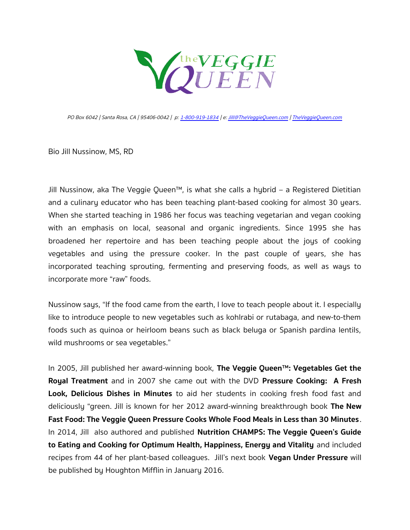

PO Box 6042 | Santa Rosa, CA | 95406-0042 | p: [1-800-919-1834](tel:1-800-919-1834) | e: [Jill@TheVeggieQueen.com](mailto:Jill@TheVeggieQueen.com) | [TheVeggieQueen.com](http://www.TheVeggieQueen.com/)

Bio Jill Nussinow, MS, RD

Jill Nussinow, aka The Veggie Queen™, is what she calls a hybrid – a Registered Dietitian and a culinary educator who has been teaching plant-based cooking for almost 30 years. When she started teaching in 1986 her focus was teaching vegetarian and vegan cooking with an emphasis on local, seasonal and organic ingredients. Since 1995 she has broadened her repertoire and has been teaching people about the joys of cooking vegetables and using the pressure cooker. In the past couple of years, she has incorporated teaching sprouting, fermenting and preserving foods, as well as ways to incorporate more "raw" foods.

Nussinow says, "If the food came from the earth, I love to teach people about it. I especially like to introduce people to new vegetables such as kohlrabi or rutabaga, and new-to-them foods such as quinoa or heirloom beans such as black beluga or Spanish pardina lentils, wild mushrooms or sea vegetables."

In 2005, Jill published her award-winning book, **The Veggie Queen™: Vegetables Get the Royal Treatment** and in 2007 she came out with the DVD **Pressure Cooking: A Fresh Look, Delicious Dishes in Minutes** to aid her students in cooking fresh food fast and deliciously "green. Jill is known for her 2012 award-winning breakthrough book **The New Fast Food: The Veggie Queen Pressure Cooks Whole Food Meals in Less than 30 Minutes**. In 2014, Jill also authored and published **Nutrition CHAMPS: The Veggie Queen's Guide to Eating and Cooking for Optimum Health, Happiness, Energy and Vitality** and included recipes from 44 of her plant-based colleagues. Jill's next book **Vegan Under Pressure** will be published by Houghton Mifflin in January 2016.